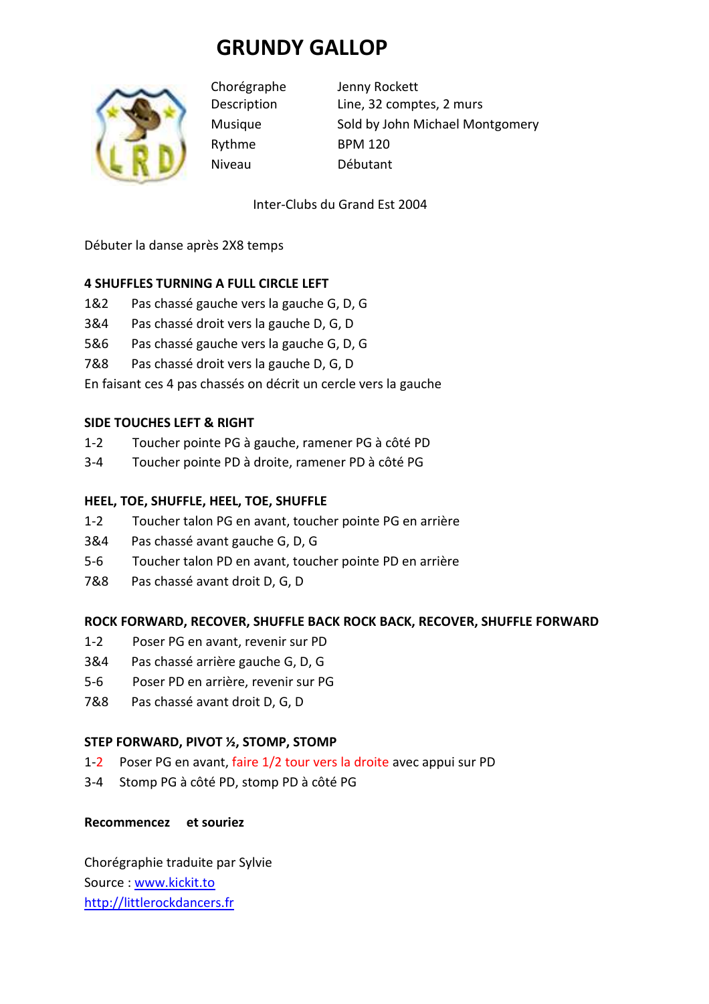# **GRUNDY GALLOP**



Rythme BPM 120 Niveau Débutant

Chorégraphe Jenny Rockett Description Line, 32 comptes, 2 murs Musique Sold by John Michael Montgomery

Inter-Clubs du Grand Est 2004

Débuter la danse après 2X8 temps

### **4 SHUFFLES TURNING A FULL CIRCLE LEFT**

- 1&2 Pas chassé gauche vers la gauche G, D, G
- 3&4 Pas chassé droit vers la gauche D, G, D
- 5&6 Pas chassé gauche vers la gauche G, D, G
- 7&8 Pas chassé droit vers la gauche D, G, D

En faisant ces 4 pas chassés on décrit un cercle vers la gauche

### **SIDE TOUCHES LEFT & RIGHT**

- 1-2 Toucher pointe PG à gauche, ramener PG à côté PD
- 3-4 Toucher pointe PD à droite, ramener PD à côté PG

## **HEEL, TOE, SHUFFLE, HEEL, TOE, SHUFFLE**

- 1-2 Toucher talon PG en avant, toucher pointe PG en arrière
- 3&4 Pas chassé avant gauche G, D, G
- 5-6 Toucher talon PD en avant, toucher pointe PD en arrière
- 7&8 Pas chassé avant droit D, G, D

### **ROCK FORWARD, RECOVER, SHUFFLE BACK ROCK BACK, RECOVER, SHUFFLE FORWARD**

- 1-2 Poser PG en avant, revenir sur PD
- 3&4 Pas chassé arrière gauche G, D, G
- 5-6 Poser PD en arrière, revenir sur PG
- 7&8 Pas chassé avant droit D, G, D

### **STEP FORWARD, PIVOT ½, STOMP, STOMP**

- 1-2 Poser PG en avant, faire 1/2 tour vers la droite avec appui sur PD
- 3-4 Stomp PG à côté PD, stomp PD à côté PG

### **Recommencez et souriez**

Chorégraphie traduite par Sylvie Source : www.kickit.to http://littlerockdancers.fr